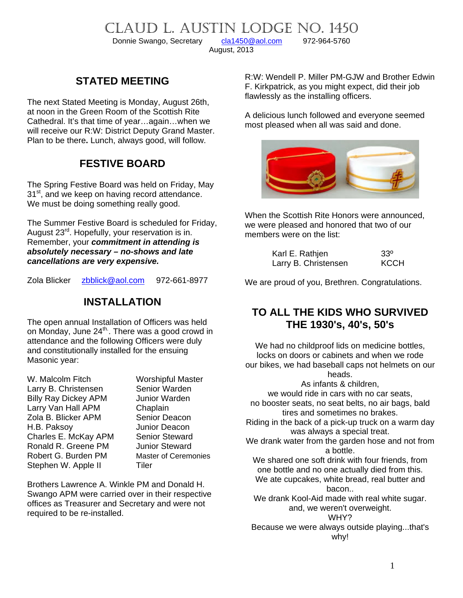CLAUD L. AUSTIN LODGE NO. 1450<br>Donnie Swango, Secretary cla1450@aol.com 972-964-5760

Donnie Swango, Secretary [cla1450@aol.com](mailto:cla1450@aol.com) 972-964-5760

August, 2013

### **STATED MEETING**

The next Stated Meeting is Monday, August 26th, at noon in the Green Room of the Scottish Rite Cathedral. It's that time of year…again…when we will receive our R:W: District Deputy Grand Master. Plan to be there**.** Lunch, always good, will follow.

### **FESTIVE BOARD**

The Spring Festive Board was held on Friday, May 31<sup>st</sup>, and we keep on having record attendance. We must be doing something really good.

The Summer Festive Board is scheduled for Friday, August 23<sup>rd</sup>. Hopefully, your reservation is in. Remember, your *commitment in attending is absolutely necessary – no-shows and late cancellations are very expensive.* 

Zola Blicker [zbblick@aol.com](mailto:zbblick@aol.com) 972-661-8977

### **INSTALLATION**

The open annual Installation of Officers was held on Monday, June 24<sup>th</sup>. There was a good crowd in attendance and the following Officers were duly and constitutionally installed for the ensuing Masonic year:

W. Malcolm Fitch Worshipful Master Larry B. Christensen Senior Warden Billy Ray Dickey APM Junior Warden Larry Van Hall APM Chaplain Zola B. Blicker APM Senior Deacon H.B. Paksoy **Inter Seat All Seat All Seat All Price Charles E. McKay APM** Senior Steward Charles E. McKay APM Ronald R. Greene PM Junior Steward Robert G. Burden PM Master of Ceremonies Stephen W. Apple II Tiler

Brothers Lawrence A. Winkle PM and Donald H. Swango APM were carried over in their respective offices as Treasurer and Secretary and were not required to be re-installed.

R:W: Wendell P. Miller PM-GJW and Brother Edwin F. Kirkpatrick, as you might expect, did their job flawlessly as the installing officers.

A delicious lunch followed and everyone seemed most pleased when all was said and done.



When the Scottish Rite Honors were announced, we were pleased and honored that two of our members were on the list:

| Karl E. Rathjen      | $33^\circ$  |
|----------------------|-------------|
| Larry B. Christensen | <b>KCCH</b> |

We are proud of you, Brethren. Congratulations.

### **TO ALL THE KIDS WHO SURVIVED THE 1930's, 40's, 50's**

We had no childproof lids on medicine bottles, locks on doors or cabinets and when we rode our bikes, we had baseball caps not helmets on our heads.

As infants & children, we would ride in cars with no car seats, no booster seats, no seat belts, no air bags, bald tires and sometimes no brakes. Riding in the back of a pick-up truck on a warm day was always a special treat. We drank water from the garden hose and not from a bottle. We shared one soft drink with four friends, from one bottle and no one actually died from this. We ate cupcakes, white bread, real butter and bacon.. We drank Kool-Aid made with real white sugar. and, we weren't overweight. WHY? Because we were always outside playing...that's why!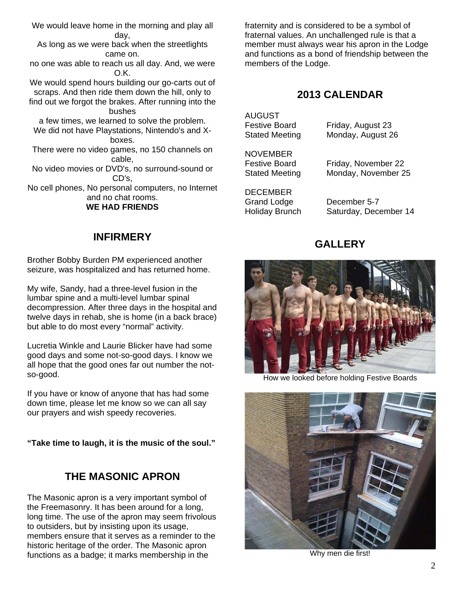We would leave home in the morning and play all day, As long as we were back when the streetlights came on. no one was able to reach us all day. And, we were O.K. We would spend hours building our go-carts out of scraps. And then ride them down the hill, only to find out we forgot the brakes. After running into the bushes a few times, we learned to solve the problem. We did not have Playstations, Nintendo's and Xboxes. There were no video games, no 150 channels on cable, No video movies or DVD's, no surround-sound or CD's, No cell phones, No personal computers, no Internet and no chat rooms. **WE HAD FRIENDS** 

#### **INFIRMERY**

Brother Bobby Burden PM experienced another seizure, was hospitalized and has returned home.

My wife, Sandy, had a three-level fusion in the lumbar spine and a multi-level lumbar spinal decompression. After three days in the hospital and twelve days in rehab, she is home (in a back brace) but able to do most every "normal" activity.

Lucretia Winkle and Laurie Blicker have had some good days and some not-so-good days. I know we all hope that the good ones far out number the notso-good.

If you have or know of anyone that has had some down time, please let me know so we can all say our prayers and wish speedy recoveries.

**"Take time to laugh, it is the music of the soul."** 

# **THE MASONIC APRON**

The Masonic apron is a very important symbol of the Freemasonry. It has been around for a long, long time. The use of the apron may seem frivolous to outsiders, but by insisting upon its usage, members ensure that it serves as a reminder to the historic heritage of the order. The Masonic apron functions as a badge; it marks membership in the

fraternity and is considered to be a symbol of fraternal values. An unchallenged rule is that a member must always wear his apron in the Lodge and functions as a bond of friendship between the members of the Lodge.

# **2013 CALENDAR**

AUGUST

Festive Board Friday, August 23 Stated Meeting Monday, August 26

**NOVEMBER** 

Festive Board Friday, November 22 Stated Meeting Monday, November 25

**DECEMBER** Grand Lodge December 5-7

Holiday Brunch Saturday, December 14

# **GALLERY**



How we looked before holding Festive Boards



Why men die first!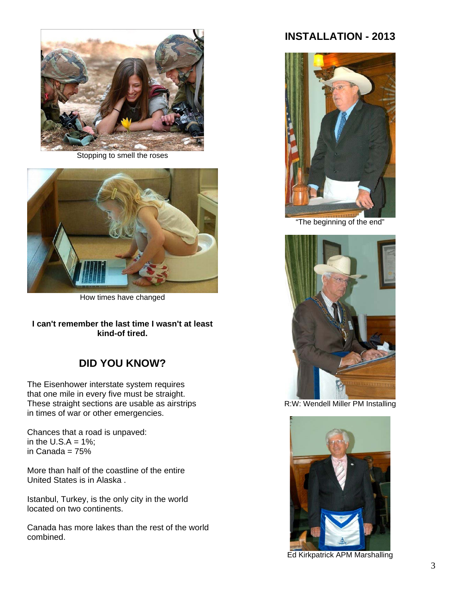

Stopping to smell the roses



How times have changed

**I can't remember the last time I wasn't at least kind-of tired.** 

### **DID YOU KNOW?**

The Eisenhower interstate system requires that one mile in every five must be straight. These straight sections are usable as airstrips in times of war or other emergencies.

Chances that a road is unpaved: in the U.S. $A = 1\%$ ; in Canada = 75%

More than half of the coastline of the entire United States is in Alaska .

Istanbul, Turkey, is the only city in the world located on two continents.

Canada has more lakes than the rest of the world combined.

# **INSTALLATION - 2013**



"The beginning of the end"



R:W: Wendell Miller PM Installing



Ed Kirkpatrick APM Marshalling